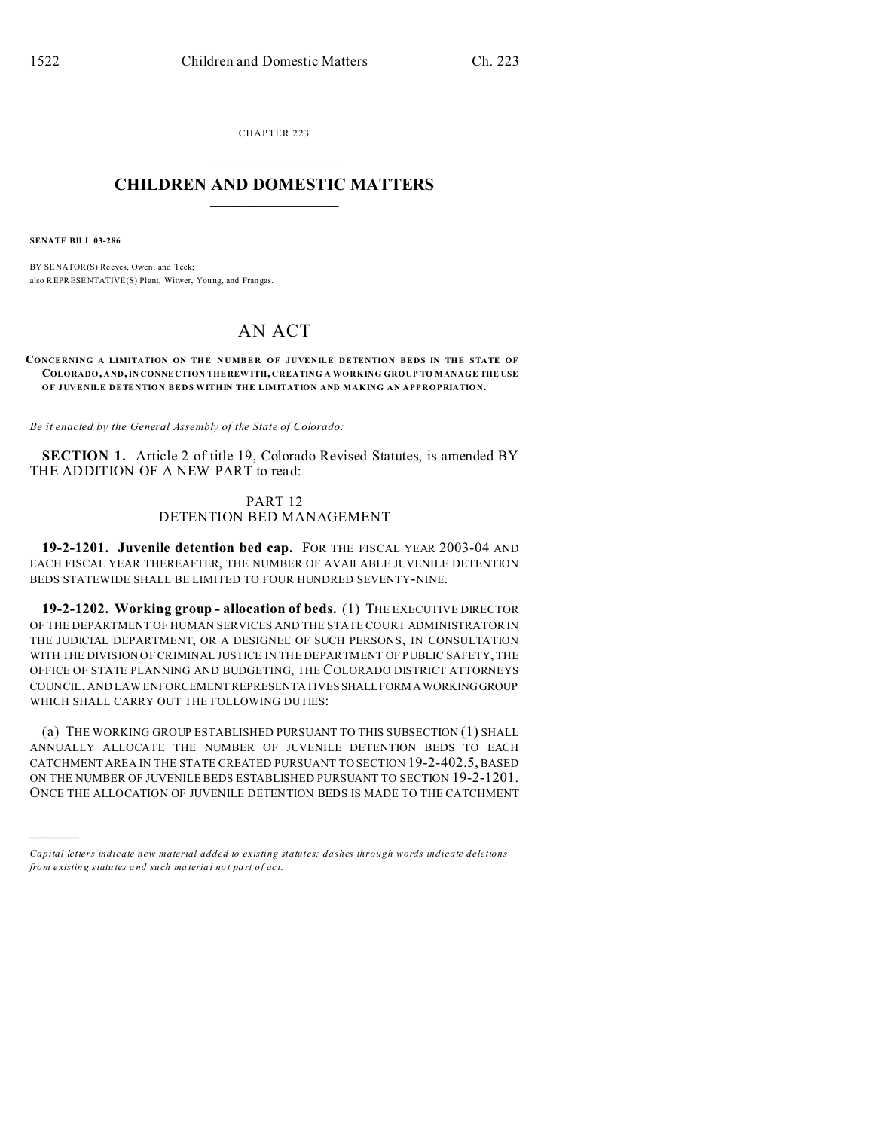CHAPTER 223  $\overline{\phantom{a}}$  , where  $\overline{\phantom{a}}$ 

## **CHILDREN AND DOMESTIC MATTERS**  $\_$   $\_$

**SENATE BILL 03-286**

)))))

BY SENATOR(S) Reeves, Owen, and Teck; also REPRESENTATIVE(S) Plant, Witwer, Young, and Frangas.

# AN ACT

#### **CONCERNING A LIMITATION ON TH E NUMBER OF JUVENILE DETENTION BEDS IN THE STATE OF COLORADO, AND, IN CONNE CTION THE REW ITH, CREATING A WORKING GROUP TO MANAGE THE USE OF JUVENILE DETENTION BEDS WITHIN THE LIMITATION AND MAKING AN APPROPRIATION.**

*Be it enacted by the General Assembly of the State of Colorado:*

**SECTION 1.** Article 2 of title 19, Colorado Revised Statutes, is amended BY THE ADDITION OF A NEW PART to read:

## PART 12 DETENTION BED MANAGEMENT

**19-2-1201. Juvenile detention bed cap.** FOR THE FISCAL YEAR 2003-04 AND EACH FISCAL YEAR THEREAFTER, THE NUMBER OF AVAILABLE JUVENILE DETENTION BEDS STATEWIDE SHALL BE LIMITED TO FOUR HUNDRED SEVENTY-NINE.

**19-2-1202. Working group - allocation of beds.** (1) THE EXECUTIVE DIRECTOR OF THE DEPARTMENT OF HUMAN SERVICES AND THE STATE COURT ADMINISTRATOR IN THE JUDICIAL DEPARTMENT, OR A DESIGNEE OF SUCH PERSONS, IN CONSULTATION WITH THE DIVISION OF CRIMINAL JUSTICE IN THE DEPARTMENT OF PUBLIC SAFETY, THE OFFICE OF STATE PLANNING AND BUDGETING, THE COLORADO DISTRICT ATTORNEYS COUNCIL, AND LAW ENFORCEMENT REPRESENTATIVES SHALLFORMAWORKINGGROUP WHICH SHALL CARRY OUT THE FOLLOWING DUTIES:

(a) THE WORKING GROUP ESTABLISHED PURSUANT TO THIS SUBSECTION (1) SHALL ANNUALLY ALLOCATE THE NUMBER OF JUVENILE DETENTION BEDS TO EACH CATCHMENT AREA IN THE STATE CREATED PURSUANT TO SECTION 19-2-402.5, BASED ON THE NUMBER OF JUVENILE BEDS ESTABLISHED PURSUANT TO SECTION 19-2-1201. ONCE THE ALLOCATION OF JUVENILE DETENTION BEDS IS MADE TO THE CATCHMENT

*Capital letters indicate new material added to existing statutes; dashes through words indicate deletions from e xistin g statu tes a nd such ma teria l no t pa rt of ac t.*